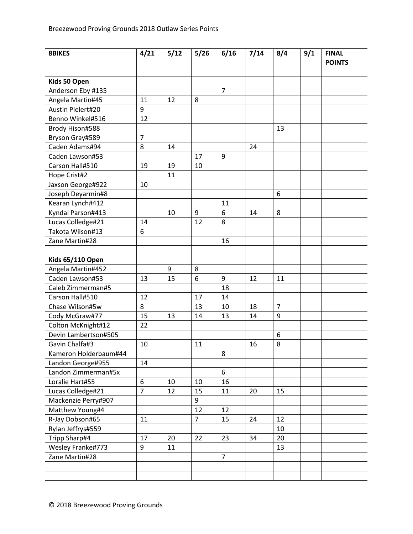| <b>8BIKES</b>           | 4/21           | 5/12 | 5/26           | 6/16           | 7/14 | 8/4            | 9/1 | <b>FINAL</b><br><b>POINTS</b> |
|-------------------------|----------------|------|----------------|----------------|------|----------------|-----|-------------------------------|
|                         |                |      |                |                |      |                |     |                               |
| Kids 50 Open            |                |      |                |                |      |                |     |                               |
| Anderson Eby #135       |                |      |                | $\overline{7}$ |      |                |     |                               |
| Angela Martin#45        | 11             | 12   | 8              |                |      |                |     |                               |
| Austin Pielert#20       | 9              |      |                |                |      |                |     |                               |
| Benno Winkel#516        | 12             |      |                |                |      |                |     |                               |
| Brody Hison#588         |                |      |                |                |      | 13             |     |                               |
| Bryson Gray#589         | $\overline{7}$ |      |                |                |      |                |     |                               |
| Caden Adams#94          | 8              | 14   |                |                | 24   |                |     |                               |
| Caden Lawson#53         |                |      | 17             | 9              |      |                |     |                               |
| Carson Hall#510         | 19             | 19   | 10             |                |      |                |     |                               |
| Hope Crist#2            |                | 11   |                |                |      |                |     |                               |
| Jaxson George#922       | 10             |      |                |                |      |                |     |                               |
| Joseph Deyarmin#8       |                |      |                |                |      | 6              |     |                               |
| Kearan Lynch#412        |                |      |                | 11             |      |                |     |                               |
| Kyndal Parson#413       |                | 10   | 9              | 6              | 14   | 8              |     |                               |
| Lucas Colledge#21       | 14             |      | 12             | 8              |      |                |     |                               |
| Takota Wilson#13        | 6              |      |                |                |      |                |     |                               |
| Zane Martin#28          |                |      |                | 16             |      |                |     |                               |
|                         |                |      |                |                |      |                |     |                               |
| <b>Kids 65/110 Open</b> |                |      |                |                |      |                |     |                               |
| Angela Martin#452       |                | 9    | 8              |                |      |                |     |                               |
| Caden Lawson#53         | 13             | 15   | 6              | 9              | 12   | 11             |     |                               |
| Caleb Zimmerman#5       |                |      |                | 18             |      |                |     |                               |
| Carson Hall#510         | 12             |      | 17             | 14             |      |                |     |                               |
| Chase Wilson#5w         | 8              |      | 13             | 10             | 18   | $\overline{7}$ |     |                               |
| Cody McGraw#77          | 15             | 13   | 14             | 13             | 14   | 9              |     |                               |
| Colton McKnight#12      | 22             |      |                |                |      |                |     |                               |
| Devin Lambertson#505    |                |      |                |                |      | 6              |     |                               |
| Gavin Chalfa#3          | 10             |      | 11             |                | 16   | 8              |     |                               |
| Kameron Holderbaum#44   |                |      |                | 8              |      |                |     |                               |
| Landon George#955       | 14             |      |                |                |      |                |     |                               |
| Landon Zimmerman#5x     |                |      |                | 6              |      |                |     |                               |
| Loralie Hart#55         | 6              | 10   | 10             | 16             |      |                |     |                               |
| Lucas Colledge#21       | $\overline{7}$ | 12   | 15             | 11             | 20   | 15             |     |                               |
| Mackenzie Perry#907     |                |      | 9              |                |      |                |     |                               |
| Matthew Young#4         |                |      | 12             | 12             |      |                |     |                               |
| R-Jay Dobson#65         | 11             |      | $\overline{7}$ | 15             | 24   | 12             |     |                               |
| Rylan Jeffrys#559       |                |      |                |                |      | 10             |     |                               |
| Tripp Sharp#4           | 17             | 20   | 22             | 23             | 34   | 20             |     |                               |
| Wesley Franke#773       | 9              | 11   |                |                |      | 13             |     |                               |
| Zane Martin#28          |                |      |                | $\overline{7}$ |      |                |     |                               |
|                         |                |      |                |                |      |                |     |                               |
|                         |                |      |                |                |      |                |     |                               |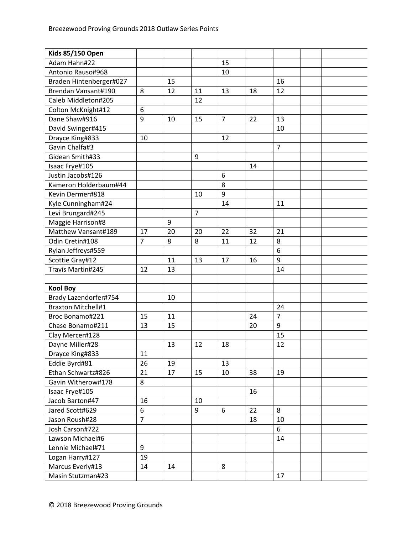| <b>Kids 85/150 Open</b>   |                |    |                |    |    |                |  |
|---------------------------|----------------|----|----------------|----|----|----------------|--|
| Adam Hahn#22              |                |    |                | 15 |    |                |  |
| Antonio Rauso#968         |                |    |                | 10 |    |                |  |
| Braden Hintenberger#027   |                | 15 |                |    |    | 16             |  |
| Brendan Vansant#190       | 8              | 12 | 11             | 13 | 18 | 12             |  |
| Caleb Middleton#205       |                |    | 12             |    |    |                |  |
| Colton McKnight#12        | 6              |    |                |    |    |                |  |
| Dane Shaw#916             | 9              | 10 | 15             | 7  | 22 | 13             |  |
| David Swinger#415         |                |    |                |    |    | 10             |  |
| Drayce King#833           | 10             |    |                | 12 |    |                |  |
| Gavin Chalfa#3            |                |    |                |    |    | $\overline{7}$ |  |
| Gidean Smith#33           |                |    | 9              |    |    |                |  |
| Isaac Frye#105            |                |    |                |    | 14 |                |  |
| Justin Jacobs#126         |                |    |                | 6  |    |                |  |
| Kameron Holderbaum#44     |                |    |                | 8  |    |                |  |
| Kevin Dermer#818          |                |    | 10             | 9  |    |                |  |
| Kyle Cunningham#24        |                |    |                | 14 |    | 11             |  |
| Levi Brungard#245         |                |    | $\overline{7}$ |    |    |                |  |
| Maggie Harrison#8         |                | 9  |                |    |    |                |  |
| Matthew Vansant#189       | 17             | 20 | 20             | 22 | 32 | 21             |  |
| Odin Cretin#108           | $\overline{7}$ | 8  | 8              | 11 | 12 | 8              |  |
| Rylan Jeffreys#559        |                |    |                |    |    | 6              |  |
| Scottie Gray#12           |                | 11 | 13             | 17 | 16 | 9              |  |
| Travis Martin#245         | 12             | 13 |                |    |    | 14             |  |
|                           |                |    |                |    |    |                |  |
| <b>Kool Boy</b>           |                |    |                |    |    |                |  |
| Brady Lazendorfer#754     |                | 10 |                |    |    |                |  |
| <b>Braxton Mitchell#1</b> |                |    |                |    |    | 24             |  |
| Broc Bonamo#221           | 15             | 11 |                |    | 24 | $\overline{7}$ |  |
| Chase Bonamo#211          | 13             | 15 |                |    | 20 | 9              |  |
| Clay Mercer#128           |                |    |                |    |    | 15             |  |
| Dayne Miller#28           |                | 13 | 12             | 18 |    | 12             |  |
| Drayce King#833           | 11             |    |                |    |    |                |  |
| Eddie Byrd#81             | 26             | 19 |                | 13 |    |                |  |
| Ethan Schwartz#826        | 21             | 17 | 15             | 10 | 38 | 19             |  |
| Gavin Witherow#178        | 8              |    |                |    |    |                |  |
| Isaac Frye#105            |                |    |                |    | 16 |                |  |
| Jacob Barton#47           | 16             |    | 10             |    |    |                |  |
| Jared Scott#629           | 6              |    | 9              | 6  | 22 | 8              |  |
| Jason Roush#28            | $\overline{7}$ |    |                |    | 18 | 10             |  |
| Josh Carson#722           |                |    |                |    |    | 6              |  |
| Lawson Michael#6          |                |    |                |    |    | 14             |  |
| Lennie Michael#71         | 9              |    |                |    |    |                |  |
| Logan Harry#127           | 19             |    |                |    |    |                |  |
| Marcus Everly#13          | 14             | 14 |                | 8  |    |                |  |
| Masin Stutzman#23         |                |    |                |    |    | 17             |  |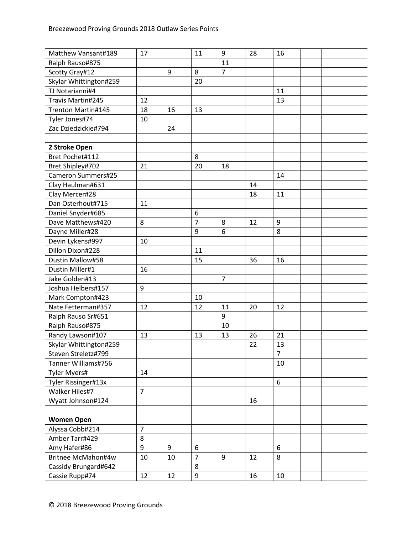| Matthew Vansant#189    | 17             |    | 11               | 9              | 28 | 16             |  |
|------------------------|----------------|----|------------------|----------------|----|----------------|--|
| Ralph Rauso#875        |                |    |                  | 11             |    |                |  |
| Scotty Gray#12         |                | 9  | 8                | $\overline{7}$ |    |                |  |
| Skylar Whittington#259 |                |    | 20               |                |    |                |  |
| TJ Notarianni#4        |                |    |                  |                |    | 11             |  |
| Travis Martin#245      | 12             |    |                  |                |    | 13             |  |
| Trenton Martin#145     | 18             | 16 | 13               |                |    |                |  |
| Tyler Jones#74         | 10             |    |                  |                |    |                |  |
| Zac Dziedzickie#794    |                | 24 |                  |                |    |                |  |
|                        |                |    |                  |                |    |                |  |
| 2 Stroke Open          |                |    |                  |                |    |                |  |
| Bret Pochet#112        |                |    | 8                |                |    |                |  |
| Bret Shipley#702       | 21             |    | 20               | 18             |    |                |  |
| Cameron Summers#25     |                |    |                  |                |    | 14             |  |
| Clay Haulman#631       |                |    |                  |                | 14 |                |  |
| Clay Mercer#28         |                |    |                  |                | 18 | 11             |  |
| Dan Osterhout#715      | 11             |    |                  |                |    |                |  |
| Daniel Snyder#685      |                |    | $\boldsymbol{6}$ |                |    |                |  |
| Dave Matthews#420      | 8              |    | $\overline{7}$   | 8              | 12 | 9              |  |
| Dayne Miller#28        |                |    | 9                | 6              |    | 8              |  |
| Devin Lykens#997       | 10             |    |                  |                |    |                |  |
| Dillon Dixon#228       |                |    | 11               |                |    |                |  |
| Dustin Mallow#58       |                |    | 15               |                | 36 | 16             |  |
| Dustin Miller#1        | 16             |    |                  |                |    |                |  |
| Jake Golden#13         |                |    |                  | $\overline{7}$ |    |                |  |
| Joshua Helbers#157     | 9              |    |                  |                |    |                |  |
| Mark Compton#423       |                |    | 10               |                |    |                |  |
| Nate Fetterman#357     | 12             |    | 12               | 11             | 20 | 12             |  |
| Ralph Rauso Sr#651     |                |    |                  | 9              |    |                |  |
| Ralph Rauso#875        |                |    |                  | 10             |    |                |  |
| Randy Lawson#107       | 13             |    | 13               | 13             | 26 | 21             |  |
| Skylar Whittington#259 |                |    |                  |                | 22 | 13             |  |
| Steven Streletz#799    |                |    |                  |                |    | $\overline{7}$ |  |
| Tanner Williams#756    |                |    |                  |                |    | 10             |  |
| Tyler Myers#           | 14             |    |                  |                |    |                |  |
| Tyler Rissinger#13x    |                |    |                  |                |    | 6              |  |
| Walker Hiles#7         | $\overline{7}$ |    |                  |                |    |                |  |
| Wyatt Johnson#124      |                |    |                  |                | 16 |                |  |
|                        |                |    |                  |                |    |                |  |
| <b>Women Open</b>      |                |    |                  |                |    |                |  |
| Alyssa Cobb#214        | $\overline{7}$ |    |                  |                |    |                |  |
| Amber Tarr#429         | 8              |    |                  |                |    |                |  |
| Amy Hafer#86           | 9              | 9  | 6                |                |    | 6              |  |
| Britnee McMahon#4w     | 10             | 10 | $\overline{7}$   | 9              | 12 | 8              |  |
| Cassidy Brungard#642   |                |    | 8                |                |    |                |  |
| Cassie Rupp#74         | 12             | 12 | 9                |                | 16 | 10             |  |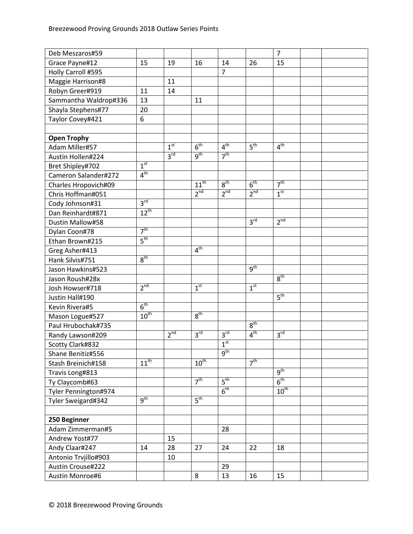| Deb Meszaros#59       |                 |                 |                  |                 |                 | $\overline{7}$   |  |
|-----------------------|-----------------|-----------------|------------------|-----------------|-----------------|------------------|--|
| Grace Payne#12        | 15              | 19              | 16               | 14              | 26              | 15               |  |
| Holly Carroll #595    |                 |                 |                  | $\overline{7}$  |                 |                  |  |
| Maggie Harrison#8     |                 | 11              |                  |                 |                 |                  |  |
| Robyn Greer#919       | 11              | 14              |                  |                 |                 |                  |  |
| Sammantha Waldrop#336 | 13              |                 | 11               |                 |                 |                  |  |
| Shayla Stephens#77    | 20              |                 |                  |                 |                 |                  |  |
| Taylor Covey#421      | 6               |                 |                  |                 |                 |                  |  |
|                       |                 |                 |                  |                 |                 |                  |  |
| <b>Open Trophy</b>    |                 |                 |                  |                 |                 |                  |  |
| Adam Miller#57        |                 | 1 <sup>st</sup> | 6 <sup>th</sup>  | 4 <sup>th</sup> | 5 <sup>th</sup> | 4 <sup>th</sup>  |  |
| Austin Hollen#224     |                 | 3 <sup>rd</sup> | 9 <sup>th</sup>  | 7 <sup>th</sup> |                 |                  |  |
| Bret Shipley#702      | 1 <sup>st</sup> |                 |                  |                 |                 |                  |  |
| Cameron Salander#272  | 4 <sup>th</sup> |                 |                  |                 |                 |                  |  |
| Charles Hropovich#09  |                 |                 | $11^{th}$        | 8 <sup>th</sup> | 6 <sup>th</sup> | 7 <sup>th</sup>  |  |
| Chris Hoffman#051     |                 |                 | $2^{nd}$         | $2^{nd}$        | 2 <sup>nd</sup> | 1 <sup>st</sup>  |  |
| Cody Johnson#31       | 3 <sup>rd</sup> |                 |                  |                 |                 |                  |  |
| Dan Reinhardt#871     | $12^{th}$       |                 |                  |                 |                 |                  |  |
| Dustin Mallow#58      |                 |                 |                  |                 | 3 <sup>rd</sup> | 2 <sup>nd</sup>  |  |
| Dylan Coon#78         | 7 <sup>th</sup> |                 |                  |                 |                 |                  |  |
| Ethan Brown#215       | 5 <sup>th</sup> |                 |                  |                 |                 |                  |  |
| Greg Asher#413        |                 |                 | 4 <sup>th</sup>  |                 |                 |                  |  |
| Hank Silvis#751       | 8 <sup>th</sup> |                 |                  |                 |                 |                  |  |
| Jason Hawkins#523     |                 |                 |                  |                 | 9 <sup>th</sup> |                  |  |
| Jason Roush#28x       |                 |                 |                  |                 |                 | 8 <sup>th</sup>  |  |
| Josh Howser#718       | 2 <sup>nd</sup> |                 | 1 <sup>st</sup>  |                 | 1 <sup>st</sup> |                  |  |
| Justin Hall#190       |                 |                 |                  |                 |                 | 5 <sup>th</sup>  |  |
| Kevin Rivera#5        | 6 <sup>th</sup> |                 |                  |                 |                 |                  |  |
| Mason Logue#527       | $10^{th}$       |                 | $8^{\text{th}}$  |                 |                 |                  |  |
| Paul Hrubochak#735    |                 |                 |                  |                 | $8^{\text{th}}$ |                  |  |
| Randy Lawson#209      |                 | 2 <sup>nd</sup> | 3 <sup>rd</sup>  | 3 <sup>rd</sup> | 4 <sup>th</sup> | 3 <sup>rd</sup>  |  |
| Scotty Clark#832      |                 |                 |                  | 1 <sup>st</sup> |                 |                  |  |
| Shane Benitiz#556     |                 |                 |                  | 9 <sup>th</sup> |                 |                  |  |
| Stash Breinich#158    | $11^{th}$       |                 | $10^{\text{th}}$ |                 | 7 <sup>th</sup> |                  |  |
| Travis Long#813       |                 |                 |                  |                 |                 | $q^{th}$         |  |
| Ty Claycomb#63        |                 |                 | 7 <sup>th</sup>  | 5 <sup>th</sup> |                 | 6 <sup>th</sup>  |  |
| Tyler Pennington#974  |                 |                 |                  | $6^{\text{th}}$ |                 | $10^{\text{th}}$ |  |
| Tyler Sweigard#342    | 9 <sup>th</sup> |                 | 5 <sup>th</sup>  |                 |                 |                  |  |
|                       |                 |                 |                  |                 |                 |                  |  |
| 250 Beginner          |                 |                 |                  |                 |                 |                  |  |
| Adam Zimmerman#5      |                 |                 |                  | 28              |                 |                  |  |
| Andrew Yost#77        |                 | 15              |                  |                 |                 |                  |  |
| Andy Claar#247        | 14              | 28              | 27               | 24              | 22              | 18               |  |
| Antonio Trvjillo#903  |                 | 10              |                  |                 |                 |                  |  |
| Austin Crouse#222     |                 |                 |                  | 29              |                 |                  |  |
| Austin Monroe#6       |                 |                 | 8                | 13              | 16              | 15               |  |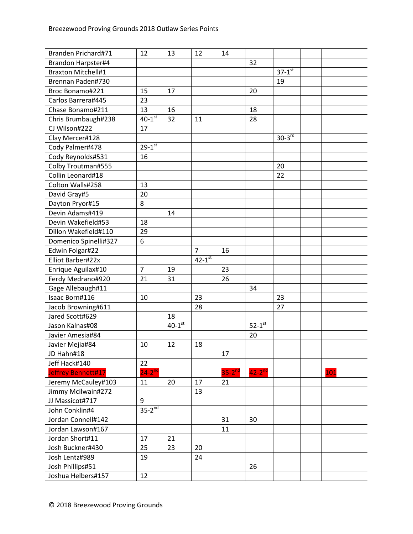| Branden Prichard#71       | 12                     | 13                   | 12                     | 14                   |                        |               |     |
|---------------------------|------------------------|----------------------|------------------------|----------------------|------------------------|---------------|-----|
| Brandon Harpster#4        |                        |                      |                        |                      | 32                     |               |     |
| <b>Braxton Mitchell#1</b> |                        |                      |                        |                      |                        | $37 - 1^{st}$ |     |
| Brennan Paden#730         |                        |                      |                        |                      |                        | 19            |     |
| Broc Bonamo#221           | 15                     | 17                   |                        |                      | 20                     |               |     |
| Carlos Barrera#445        | 23                     |                      |                        |                      |                        |               |     |
| Chase Bonamo#211          | 13                     | 16                   |                        |                      | 18                     |               |     |
| Chris Brumbaugh#238       | $40-1$ <sup>st</sup>   | 32                   | 11                     |                      | 28                     |               |     |
| CJ Wilson#222             | 17                     |                      |                        |                      |                        |               |     |
| Clay Mercer#128           |                        |                      |                        |                      |                        | $30-3^{rd}$   |     |
| Cody Palmer#478           | $29 - 1$ <sup>st</sup> |                      |                        |                      |                        |               |     |
| Cody Reynolds#531         | 16                     |                      |                        |                      |                        |               |     |
| Colby Troutman#555        |                        |                      |                        |                      |                        | 20            |     |
| Collin Leonard#18         |                        |                      |                        |                      |                        | 22            |     |
| Colton Walls#258          | 13                     |                      |                        |                      |                        |               |     |
| David Gray#5              | 20                     |                      |                        |                      |                        |               |     |
| Dayton Pryor#15           | 8                      |                      |                        |                      |                        |               |     |
| Devin Adams#419           |                        | 14                   |                        |                      |                        |               |     |
| Devin Wakefield#53        | 18                     |                      |                        |                      |                        |               |     |
| Dillon Wakefield#110      | 29                     |                      |                        |                      |                        |               |     |
| Domenico Spinelli#327     | 6                      |                      |                        |                      |                        |               |     |
| Edwin Folgar#22           |                        |                      | $\overline{7}$         | 16                   |                        |               |     |
| Elliot Barber#22x         |                        |                      | $42 - 1$ <sup>st</sup> |                      |                        |               |     |
| Enrique Aguilax#10        | $\overline{7}$         | 19                   |                        | 23                   |                        |               |     |
| Ferdy Medrano#920         | 21                     | 31                   |                        | 26                   |                        |               |     |
| Gage Allebaugh#11         |                        |                      |                        |                      | 34                     |               |     |
| Isaac Born#116            | 10                     |                      | 23                     |                      |                        | 23            |     |
| Jacob Browning#611        |                        |                      | 28                     |                      |                        | 27            |     |
| Jared Scott#629           |                        | 18                   |                        |                      |                        |               |     |
| Jason Kalnas#08           |                        | $40-1$ <sup>st</sup> |                        |                      | $52-1$ <sup>st</sup>   |               |     |
| Javier Amesia#84          |                        |                      |                        |                      | 20                     |               |     |
| Javier Mejia#84           | 10                     | 12                   | 18                     |                      |                        |               |     |
| JD Hahn#18                |                        |                      |                        | 17                   |                        |               |     |
| Jeff Hack#140             | 22                     |                      |                        |                      |                        |               |     |
| Jeffrey Bennett#17        | $24-2^{nd}$            |                      |                        | $35-2$ <sup>nd</sup> | $42 - 2$ <sup>nd</sup> |               | 101 |
| Jeremy McCauley#103       | 11                     | 20                   | 17                     | 21                   |                        |               |     |
| Jimmy Mcilwain#272        |                        |                      | 13                     |                      |                        |               |     |
| JJ Massicot#717           | 9                      |                      |                        |                      |                        |               |     |
| John Conklin#4            | $35 - 2^{nd}$          |                      |                        |                      |                        |               |     |
| Jordan Connell#142        |                        |                      |                        | 31                   | 30                     |               |     |
| Jordan Lawson#167         |                        |                      |                        | 11                   |                        |               |     |
| Jordan Short#11           | 17                     | 21                   |                        |                      |                        |               |     |
| Josh Buckner#430          | 25                     | 23                   | 20                     |                      |                        |               |     |
| Josh Lentz#989            | 19                     |                      | 24                     |                      |                        |               |     |
| Josh Phillips#51          |                        |                      |                        |                      | 26                     |               |     |
| Joshua Helbers#157        | 12                     |                      |                        |                      |                        |               |     |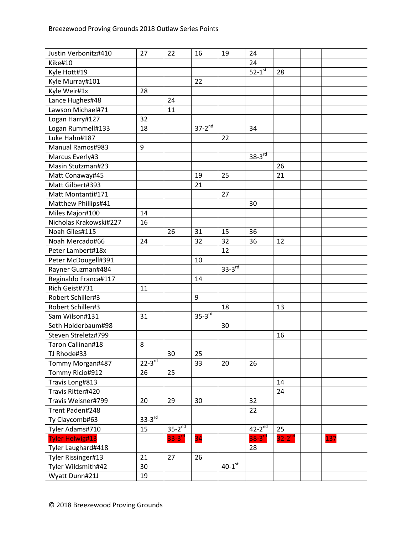| Justin Verbonitz#410   | 27          | 22            | 16            | 19                   | 24                   |             |     |
|------------------------|-------------|---------------|---------------|----------------------|----------------------|-------------|-----|
| Kike#10                |             |               |               |                      | 24                   |             |     |
| Kyle Hott#19           |             |               |               |                      | $52-1$ <sup>st</sup> | 28          |     |
| Kyle Murray#101        |             |               | 22            |                      |                      |             |     |
| Kyle Weir#1x           | 28          |               |               |                      |                      |             |     |
| Lance Hughes#48        |             | 24            |               |                      |                      |             |     |
| Lawson Michael#71      |             | 11            |               |                      |                      |             |     |
| Logan Harry#127        | 32          |               |               |                      |                      |             |     |
| Logan Rummell#133      | 18          |               | $37 - 2^{nd}$ |                      | 34                   |             |     |
| Luke Hahn#187          |             |               |               | 22                   |                      |             |     |
| Manual Ramos#983       | 9           |               |               |                      |                      |             |     |
| Marcus Everly#3        |             |               |               |                      | $38-3^{rd}$          |             |     |
| Masin Stutzman#23      |             |               |               |                      |                      | 26          |     |
| Matt Conaway#45        |             |               | 19            | 25                   |                      | 21          |     |
| Matt Gilbert#393       |             |               | 21            |                      |                      |             |     |
| Matt Montanti#171      |             |               |               | 27                   |                      |             |     |
| Matthew Phillips#41    |             |               |               |                      | 30                   |             |     |
| Miles Major#100        | 14          |               |               |                      |                      |             |     |
| Nicholas Krakowski#227 | 16          |               |               |                      |                      |             |     |
| Noah Giles#115         |             | 26            | 31            | 15                   | 36                   |             |     |
| Noah Mercado#66        | 24          |               | 32            | 32                   | 36                   | 12          |     |
| Peter Lambert#18x      |             |               |               | 12                   |                      |             |     |
| Peter McDougell#391    |             |               | 10            |                      |                      |             |     |
| Rayner Guzman#484      |             |               |               | $33-3$ <sup>rd</sup> |                      |             |     |
| Reginaldo Franca#117   |             |               | 14            |                      |                      |             |     |
| Rich Geist#731         | 11          |               |               |                      |                      |             |     |
| Robert Schiller#3      |             |               | 9             |                      |                      |             |     |
| Robert Schiller#3      |             |               |               | 18                   |                      | 13          |     |
| Sam Wilson#131         | 31          |               | $35-3^{rd}$   |                      |                      |             |     |
| Seth Holderbaum#98     |             |               |               | 30                   |                      |             |     |
| Steven Streletz#799    |             |               |               |                      |                      | 16          |     |
| Taron Callinan#18      | 8           |               |               |                      |                      |             |     |
| TJ Rhode#33            |             | 30            | 25            |                      |                      |             |     |
| Tommy Morgan#487       | $22-3^{rd}$ |               | 33            | 20                   | 26                   |             |     |
| Tommy Ricio#912        | 26          | 25            |               |                      |                      |             |     |
| Travis Long#813        |             |               |               |                      |                      | 14          |     |
| Travis Ritter#420      |             |               |               |                      |                      | 24          |     |
| Travis Weisner#799     | 20          | 29            | 30            |                      | 32                   |             |     |
| Trent Paden#248        |             |               |               |                      | 22                   |             |     |
| Ty Claycomb#63         | $33-3rd$    |               |               |                      |                      |             |     |
| Tyler Adams#710        | 15          | $35-2^{nd}$   |               |                      | $42-2^{nd}$          | 25          |     |
| <b>Tyler Helwig#13</b> |             | $33 - 3^{rd}$ | 34            |                      | $38-3^{rd}$          | $32-2^{nd}$ | 137 |
| Tyler Laughard#418     |             |               |               |                      | 28                   |             |     |
| Tyler Rissinger#13     | 21          | 27            | 26            |                      |                      |             |     |
| Tyler Wildsmith#42     | 30          |               |               | $40-1$ <sup>st</sup> |                      |             |     |
| Wyatt Dunn#21J         | 19          |               |               |                      |                      |             |     |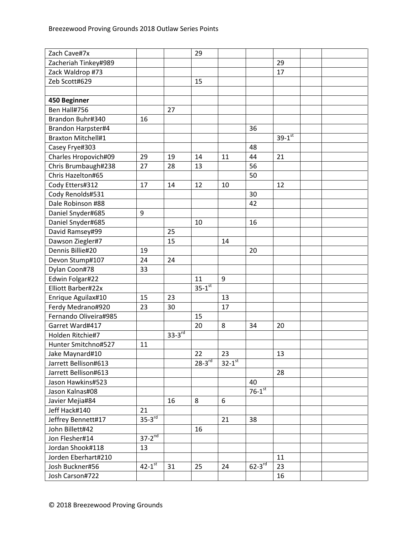| Zach Cave#7x              |                      |             | 29                     |               |                      |               |  |
|---------------------------|----------------------|-------------|------------------------|---------------|----------------------|---------------|--|
| Zacheriah Tinkey#989      |                      |             |                        |               |                      | 29            |  |
| Zack Waldrop #73          |                      |             |                        |               |                      | 17            |  |
| Zeb Scott#629             |                      |             | 15                     |               |                      |               |  |
|                           |                      |             |                        |               |                      |               |  |
| 450 Beginner              |                      |             |                        |               |                      |               |  |
| Ben Hall#756              |                      | 27          |                        |               |                      |               |  |
| Brandon Buhr#340          | 16                   |             |                        |               |                      |               |  |
| Brandon Harpster#4        |                      |             |                        |               | 36                   |               |  |
| <b>Braxton Mitchell#1</b> |                      |             |                        |               |                      | $39 - 1^{st}$ |  |
| Casey Frye#303            |                      |             |                        |               | 48                   |               |  |
| Charles Hropovich#09      | 29                   | 19          | 14                     | 11            | 44                   | 21            |  |
| Chris Brumbaugh#238       | 27                   | 28          | 13                     |               | 56                   |               |  |
| Chris Hazelton#65         |                      |             |                        |               | 50                   |               |  |
| Cody Etters#312           | 17                   | 14          | 12                     | 10            |                      | 12            |  |
| Cody Renolds#531          |                      |             |                        |               | 30                   |               |  |
| Dale Robinson #88         |                      |             |                        |               | 42                   |               |  |
| Daniel Snyder#685         | 9                    |             |                        |               |                      |               |  |
| Daniel Snyder#685         |                      |             | 10                     |               | 16                   |               |  |
| David Ramsey#99           |                      | 25          |                        |               |                      |               |  |
| Dawson Ziegler#7          |                      | 15          |                        | 14            |                      |               |  |
| Dennis Billie#20          | 19                   |             |                        |               | 20                   |               |  |
| Devon Stump#107           | 24                   | 24          |                        |               |                      |               |  |
| Dylan Coon#78             | 33                   |             |                        |               |                      |               |  |
| Edwin Folgar#22           |                      |             | 11                     | 9             |                      |               |  |
| Elliott Barber#22x        |                      |             | $35 - 1$ <sup>st</sup> |               |                      |               |  |
| Enrique Aguilax#10        | 15                   | 23          |                        | 13            |                      |               |  |
| Ferdy Medrano#920         | 23                   | 30          |                        | 17            |                      |               |  |
| Fernando Oliveira#985     |                      |             | 15                     |               |                      |               |  |
| Garret Ward#417           |                      |             | 20                     | 8             | 34                   | 20            |  |
| Holden Ritchie#7          |                      | $33-3^{rd}$ |                        |               |                      |               |  |
| Hunter Smitchno#527       | 11                   |             |                        |               |                      |               |  |
| Jake Maynard#10           |                      |             | 22                     | 23            |                      | 13            |  |
| Jarrett Bellison#613      |                      |             | $28 - 3^{rd}$          | $32 - 1^{st}$ |                      |               |  |
| Jarrett Bellison#613      |                      |             |                        |               |                      | 28            |  |
| Jason Hawkins#523         |                      |             |                        |               | 40                   |               |  |
| Jason Kalnas#08           |                      |             |                        |               | $76-1$ <sup>st</sup> |               |  |
| Javier Mejia#84           |                      | 16          | 8                      | 6             |                      |               |  |
| Jeff Hack#140             | 21                   |             |                        |               |                      |               |  |
| Jeffrey Bennett#17        | $35-3^{rd}$          |             |                        | 21            | 38                   |               |  |
| John Billett#42           |                      |             | 16                     |               |                      |               |  |
| Jon Flesher#14            | $37-2^{nd}$          |             |                        |               |                      |               |  |
| Jordan Shook#118          | 13                   |             |                        |               |                      |               |  |
| Jorden Eberhart#210       |                      |             |                        |               |                      | 11            |  |
| Josh Buckner#56           | $42-1$ <sup>st</sup> | 31          | 25                     | 24            | $62 - 3^{rd}$        | 23            |  |
| Josh Carson#722           |                      |             |                        |               |                      | 16            |  |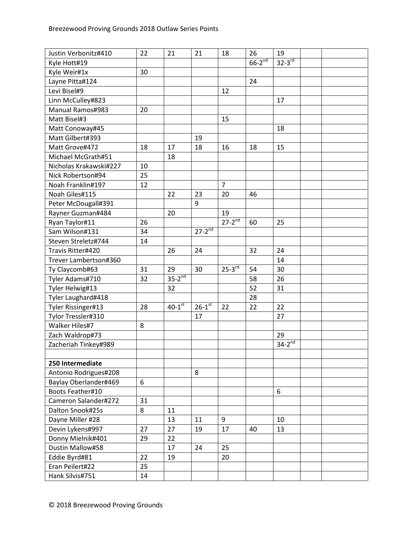| Justin Verbonitz#410   | 22 | 21                   | 21                     | 18             | 26                   | 19          |  |
|------------------------|----|----------------------|------------------------|----------------|----------------------|-------------|--|
| Kyle Hott#19           |    |                      |                        |                | $66-2$ <sup>nd</sup> | $32-3^{rd}$ |  |
| Kyle Weir#1x           | 30 |                      |                        |                |                      |             |  |
| Layne Pitta#124        |    |                      |                        |                | 24                   |             |  |
| Levi Bisel#9           |    |                      |                        | 12             |                      |             |  |
| Linn McCulley#823      |    |                      |                        |                |                      | 17          |  |
| Manual Ramos#983       | 20 |                      |                        |                |                      |             |  |
| Matt Bisel#3           |    |                      |                        | 15             |                      |             |  |
| Matt Conoway#45        |    |                      |                        |                |                      | 18          |  |
| Matt Gilbert#393       |    |                      | 19                     |                |                      |             |  |
| Matt Grove#472         | 18 | 17                   | 18                     | 16             | 18                   | 15          |  |
| Michael McGrath#51     |    | 18                   |                        |                |                      |             |  |
| Nicholas Krakawski#227 | 10 |                      |                        |                |                      |             |  |
| Nick Robertson#94      | 25 |                      |                        |                |                      |             |  |
| Noah Franklin#197      | 12 |                      |                        | $\overline{7}$ |                      |             |  |
| Noah Giles#115         |    | 22                   | 23                     | 20             | 46                   |             |  |
| Peter McDougall#391    |    |                      | 9                      |                |                      |             |  |
| Rayner Guzman#484      |    | 20                   |                        | 19             |                      |             |  |
| Ryan Taylor#11         | 26 |                      |                        | $27-2^{nd}$    | 60                   | 25          |  |
| Sam Wilson#131         | 34 |                      | $27 - 2^{nd}$          |                |                      |             |  |
| Steven Streletz#744    | 14 |                      |                        |                |                      |             |  |
| Travis Ritter#420      |    | 26                   | 24                     |                | 32                   | 24          |  |
| Trever Lambertson#360  |    |                      |                        |                |                      | 14          |  |
| Ty Claycomb#63         | 31 | 29                   | 30                     | $25 - 3^{rd}$  | 54                   | 30          |  |
| Tyler Adams#710        | 32 | $35-2^{nd}$          |                        |                | 58                   | 26          |  |
| Tyler Helwig#13        |    | 32                   |                        |                | 52                   | 31          |  |
| Tyler Laughard#418     |    |                      |                        |                | 28                   |             |  |
| Tyler Rissinger#13     | 28 | $40-1$ <sup>st</sup> | $26 - 1$ <sup>st</sup> | 22             | 22                   | 22          |  |
| Tylor Tressler#310     |    |                      | 17                     |                |                      | 27          |  |
| Walker Hiles#7         | 8  |                      |                        |                |                      |             |  |
| Zach Waldrop#73        |    |                      |                        |                |                      | 29          |  |
| Zacheriah Tinkey#989   |    |                      |                        |                |                      | $34-2^{nd}$ |  |
|                        |    |                      |                        |                |                      |             |  |
| 250 Intermediate       |    |                      |                        |                |                      |             |  |
| Antonio Rodrigues#208  |    |                      | 8                      |                |                      |             |  |
| Baylay Oberlander#469  | 6  |                      |                        |                |                      |             |  |
| Boots Feather#10       |    |                      |                        |                |                      | 6           |  |
| Cameron Salander#272   | 31 |                      |                        |                |                      |             |  |
| Dalton Snook#25s       | 8  | 11                   |                        |                |                      |             |  |
| Dayne Miller #28       |    | 13                   | 11                     | 9              |                      | 10          |  |
| Devin Lykens#997       | 27 | 27                   | 19                     | 17             | 40                   | 13          |  |
| Donny Mielnik#401      | 29 | 22                   |                        |                |                      |             |  |
| Dustin Mallow#58       |    | 17                   | 24                     | 25             |                      |             |  |
| Eddie Byrd#81          | 22 | 19                   |                        | 20             |                      |             |  |
| Eran Peilert#22        | 25 |                      |                        |                |                      |             |  |
| Hank Silvis#751        | 14 |                      |                        |                |                      |             |  |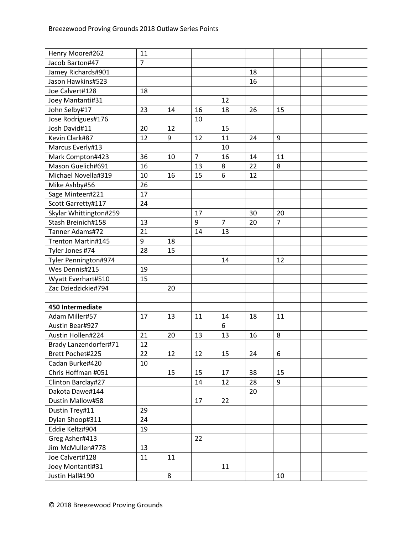| Henry Moore#262        | 11             |    |                |                |    |                |  |
|------------------------|----------------|----|----------------|----------------|----|----------------|--|
| Jacob Barton#47        | $\overline{7}$ |    |                |                |    |                |  |
| Jamey Richards#901     |                |    |                |                | 18 |                |  |
| Jason Hawkins#523      |                |    |                |                | 16 |                |  |
| Joe Calvert#128        | 18             |    |                |                |    |                |  |
| Joey Mantanti#31       |                |    |                | 12             |    |                |  |
| John Selby#17          | 23             | 14 | 16             | 18             | 26 | 15             |  |
| Jose Rodrigues#176     |                |    | 10             |                |    |                |  |
| Josh David#11          | 20             | 12 |                | 15             |    |                |  |
| Kevin Clark#87         | 12             | 9  | 12             | 11             | 24 | 9              |  |
| Marcus Everly#13       |                |    |                | 10             |    |                |  |
| Mark Compton#423       | 36             | 10 | $\overline{7}$ | 16             | 14 | 11             |  |
| Mason Guelich#691      | 16             |    | 13             | 8              | 22 | 8              |  |
| Michael Novella#319    | 10             | 16 | 15             | 6              | 12 |                |  |
| Mike Ashby#56          | 26             |    |                |                |    |                |  |
| Sage Minteer#221       | 17             |    |                |                |    |                |  |
| Scott Garretty#117     | 24             |    |                |                |    |                |  |
| Skylar Whittington#259 |                |    | 17             |                | 30 | 20             |  |
| Stash Breinich#158     | 13             |    | 9              | $\overline{7}$ | 20 | $\overline{7}$ |  |
| Tanner Adams#72        | 21             |    | 14             | 13             |    |                |  |
| Trenton Martin#145     | 9              | 18 |                |                |    |                |  |
| Tyler Jones #74        | 28             | 15 |                |                |    |                |  |
| Tyler Pennington#974   |                |    |                | 14             |    | 12             |  |
| Wes Dennis#215         | 19             |    |                |                |    |                |  |
| Wyatt Everhart#510     | 15             |    |                |                |    |                |  |
| Zac Dziedzickie#794    |                | 20 |                |                |    |                |  |
|                        |                |    |                |                |    |                |  |
| 450 Intermediate       |                |    |                |                |    |                |  |
| Adam Miller#57         | 17             | 13 | 11             | 14             | 18 | 11             |  |
| Austin Bear#927        |                |    |                | 6              |    |                |  |
| Austin Hollen#224      | 21             | 20 | 13             | 13             | 16 | 8              |  |
| Brady Lanzendorfer#71  | 12             |    |                |                |    |                |  |
| Brett Pochet#225       | 22             | 12 | 12             | 15             | 24 | $\,6\,$        |  |
| Cadan Burke#420        | 10             |    |                |                |    |                |  |
| Chris Hoffman #051     |                | 15 | 15             | 17             | 38 | 15             |  |
| Clinton Barclay#27     |                |    | 14             | 12             | 28 | 9              |  |
| Dakota Dawe#144        |                |    |                |                | 20 |                |  |
| Dustin Mallow#58       |                |    | 17             | 22             |    |                |  |
| Dustin Trey#11         | 29             |    |                |                |    |                |  |
| Dylan Shoop#311        | 24             |    |                |                |    |                |  |
| Eddie Keltz#904        | 19             |    |                |                |    |                |  |
| Greg Asher#413         |                |    | 22             |                |    |                |  |
| Jim McMullen#778       | 13             |    |                |                |    |                |  |
| Joe Calvert#128        | 11             | 11 |                |                |    |                |  |
| Joey Montanti#31       |                |    |                | 11             |    |                |  |
| Justin Hall#190        |                | 8  |                |                |    | 10             |  |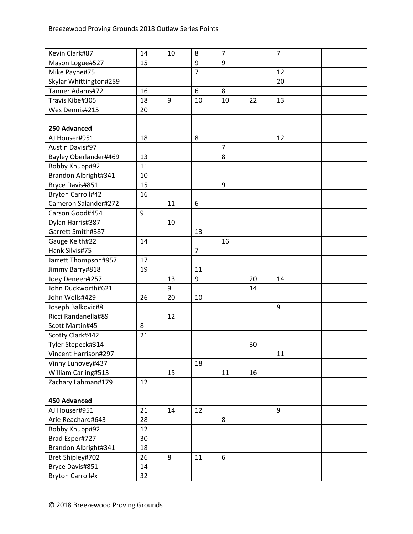| Kevin Clark#87           | 14 | 10 | 8              | $\overline{7}$ |    | $\overline{7}$ |  |
|--------------------------|----|----|----------------|----------------|----|----------------|--|
| Mason Logue#527          | 15 |    | 9              | 9              |    |                |  |
| Mike Payne#75            |    |    | $\overline{7}$ |                |    | 12             |  |
| Skylar Whittington#259   |    |    |                |                |    | 20             |  |
| Tanner Adams#72          | 16 |    | 6              | 8              |    |                |  |
| Travis Kibe#305          | 18 | 9  | 10             | 10             | 22 | 13             |  |
| Wes Dennis#215           | 20 |    |                |                |    |                |  |
|                          |    |    |                |                |    |                |  |
| 250 Advanced             |    |    |                |                |    |                |  |
| AJ Houser#951            | 18 |    | 8              |                |    | 12             |  |
| <b>Austin Davis#97</b>   |    |    |                | $\overline{7}$ |    |                |  |
| Bayley Oberlander#469    | 13 |    |                | 8              |    |                |  |
| Bobby Knupp#92           | 11 |    |                |                |    |                |  |
| Brandon Albright#341     | 10 |    |                |                |    |                |  |
| Bryce Davis#851          | 15 |    |                | 9              |    |                |  |
| <b>Bryton Carroll#42</b> | 16 |    |                |                |    |                |  |
| Cameron Salander#272     |    | 11 | 6              |                |    |                |  |
| Carson Good#454          | 9  |    |                |                |    |                |  |
| Dylan Harris#387         |    | 10 |                |                |    |                |  |
| Garrett Smith#387        |    |    | 13             |                |    |                |  |
| Gauge Keith#22           | 14 |    |                | 16             |    |                |  |
| Hank Silvis#75           |    |    | $\overline{7}$ |                |    |                |  |
| Jarrett Thompson#957     | 17 |    |                |                |    |                |  |
| Jimmy Barry#818          | 19 |    | 11             |                |    |                |  |
| Joey Deneen#257          |    | 13 | 9              |                | 20 | 14             |  |
| John Duckworth#621       |    | 9  |                |                | 14 |                |  |
| John Wells#429           | 26 | 20 | 10             |                |    |                |  |
| Joseph Balkovic#8        |    |    |                |                |    | 9              |  |
| Ricci Randanella#89      |    | 12 |                |                |    |                |  |
| Scott Martin#45          | 8  |    |                |                |    |                |  |
| Scotty Clark#442         | 21 |    |                |                |    |                |  |
| Tyler Stepeck#314        |    |    |                |                | 30 |                |  |
| Vincent Harrison#297     |    |    |                |                |    | 11             |  |
| Vinny Luhovey#437        |    |    | 18             |                |    |                |  |
| William Carling#513      |    | 15 |                | 11             | 16 |                |  |
| Zachary Lahman#179       | 12 |    |                |                |    |                |  |
|                          |    |    |                |                |    |                |  |
| 450 Advanced             |    |    |                |                |    |                |  |
| AJ Houser#951            | 21 | 14 | 12             |                |    | 9              |  |
| Arie Reachard#643        | 28 |    |                | 8              |    |                |  |
| Bobby Knupp#92           | 12 |    |                |                |    |                |  |
| Brad Esper#727           | 30 |    |                |                |    |                |  |
| Brandon Albright#341     | 18 |    |                |                |    |                |  |
| Bret Shipley#702         | 26 | 8  | 11             | 6              |    |                |  |
| Bryce Davis#851          | 14 |    |                |                |    |                |  |
| <b>Bryton Carroll#x</b>  | 32 |    |                |                |    |                |  |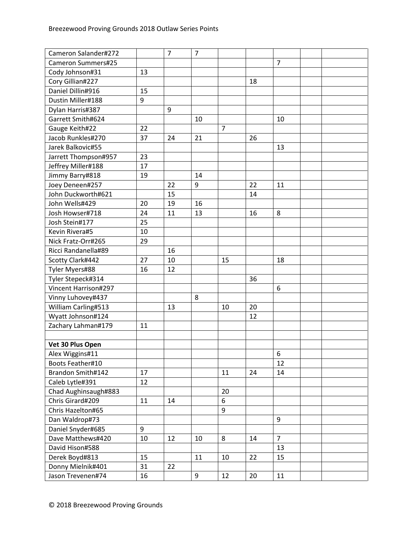| Cameron Salander#272 |    | $\overline{7}$ | $\overline{7}$ |                |    |                |  |
|----------------------|----|----------------|----------------|----------------|----|----------------|--|
| Cameron Summers#25   |    |                |                |                |    | $\overline{7}$ |  |
| Cody Johnson#31      | 13 |                |                |                |    |                |  |
| Cory Gillian#227     |    |                |                |                | 18 |                |  |
| Daniel Dillin#916    | 15 |                |                |                |    |                |  |
| Dustin Miller#188    | 9  |                |                |                |    |                |  |
| Dylan Harris#387     |    | 9              |                |                |    |                |  |
| Garrett Smith#624    |    |                | 10             |                |    | 10             |  |
| Gauge Keith#22       | 22 |                |                | $\overline{7}$ |    |                |  |
| Jacob Runkles#270    | 37 | 24             | 21             |                | 26 |                |  |
| Jarek Balkovic#55    |    |                |                |                |    | 13             |  |
| Jarrett Thompson#957 | 23 |                |                |                |    |                |  |
| Jeffrey Miller#188   | 17 |                |                |                |    |                |  |
| Jimmy Barry#818      | 19 |                | 14             |                |    |                |  |
| Joey Deneen#257      |    | 22             | 9              |                | 22 | 11             |  |
| John Duckworth#621   |    | 15             |                |                | 14 |                |  |
| John Wells#429       | 20 | 19             | 16             |                |    |                |  |
| Josh Howser#718      | 24 | 11             | 13             |                | 16 | 8              |  |
| Josh Stein#177       | 25 |                |                |                |    |                |  |
| Kevin Rivera#5       | 10 |                |                |                |    |                |  |
| Nick Fratz-Orr#265   | 29 |                |                |                |    |                |  |
| Ricci Randanella#89  |    | 16             |                |                |    |                |  |
| Scotty Clark#442     | 27 | 10             |                | 15             |    | 18             |  |
| Tyler Myers#88       | 16 | 12             |                |                |    |                |  |
| Tyler Stepeck#314    |    |                |                |                | 36 |                |  |
| Vincent Harrison#297 |    |                |                |                |    | 6              |  |
| Vinny Luhovey#437    |    |                | 8              |                |    |                |  |
| William Carling#513  |    | 13             |                | 10             | 20 |                |  |
| Wyatt Johnson#124    |    |                |                |                | 12 |                |  |
| Zachary Lahman#179   | 11 |                |                |                |    |                |  |
|                      |    |                |                |                |    |                |  |
| Vet 30 Plus Open     |    |                |                |                |    |                |  |
| Alex Wiggins#11      |    |                |                |                |    | 6              |  |
| Boots Feather#10     |    |                |                |                |    | 12             |  |
| Brandon Smith#142    | 17 |                |                | 11             | 24 | 14             |  |
| Caleb Lytle#391      | 12 |                |                |                |    |                |  |
| Chad Aughinsaugh#883 |    |                |                | 20             |    |                |  |
| Chris Girard#209     | 11 | 14             |                | 6              |    |                |  |
| Chris Hazelton#65    |    |                |                | 9              |    |                |  |
| Dan Waldrop#73       |    |                |                |                |    | 9              |  |
| Daniel Snyder#685    | 9  |                |                |                |    |                |  |
| Dave Matthews#420    | 10 | 12             | 10             | 8              | 14 | $\overline{7}$ |  |
| David Hison#588      |    |                |                |                |    | 13             |  |
| Derek Boyd#813       | 15 |                | 11             | 10             | 22 | 15             |  |
| Donny Mielnik#401    | 31 | 22             |                |                |    |                |  |
| Jason Trevenen#74    | 16 |                | 9              | 12             | 20 | 11             |  |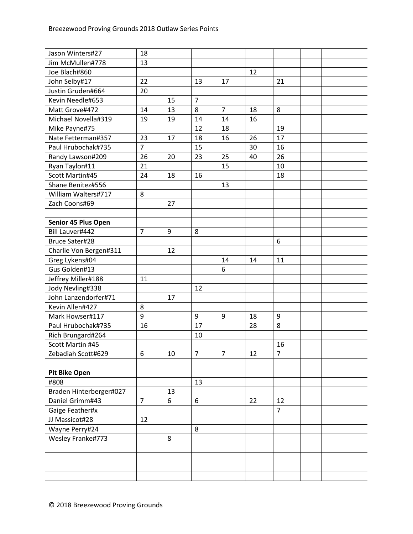| Jason Winters#27        | 18             |    |                |                |    |                |  |
|-------------------------|----------------|----|----------------|----------------|----|----------------|--|
| Jim McMullen#778        | 13             |    |                |                |    |                |  |
| Joe Blach#860           |                |    |                |                | 12 |                |  |
| John Selby#17           | 22             |    | 13             | 17             |    | 21             |  |
| Justin Gruden#664       | 20             |    |                |                |    |                |  |
| Kevin Needle#653        |                | 15 | $\overline{7}$ |                |    |                |  |
| Matt Grove#472          | 14             | 13 | 8              | $\overline{7}$ | 18 | 8              |  |
| Michael Novella#319     | 19             | 19 | 14             | 14             | 16 |                |  |
| Mike Payne#75           |                |    | 12             | 18             |    | 19             |  |
| Nate Fetterman#357      | 23             | 17 | 18             | 16             | 26 | 17             |  |
| Paul Hrubochak#735      | $\overline{7}$ |    | 15             |                | 30 | 16             |  |
| Randy Lawson#209        | 26             | 20 | 23             | 25             | 40 | 26             |  |
| Ryan Taylor#11          | 21             |    |                | 15             |    | 10             |  |
| Scott Martin#45         | 24             | 18 | 16             |                |    | 18             |  |
| Shane Benitez#556       |                |    |                | 13             |    |                |  |
| William Walters#717     | 8              |    |                |                |    |                |  |
| Zach Coons#69           |                | 27 |                |                |    |                |  |
|                         |                |    |                |                |    |                |  |
| Senior 45 Plus Open     |                |    |                |                |    |                |  |
| Bill Lauver#442         | $\overline{7}$ | 9  | 8              |                |    |                |  |
| <b>Bruce Sater#28</b>   |                |    |                |                |    | 6              |  |
| Charlie Von Bergen#311  |                | 12 |                |                |    |                |  |
| Greg Lykens#04          |                |    |                | 14             | 14 | 11             |  |
| Gus Golden#13           |                |    |                | 6              |    |                |  |
| Jeffrey Miller#188      | 11             |    |                |                |    |                |  |
| Jody Nevling#338        |                |    | 12             |                |    |                |  |
| John Lanzendorfer#71    |                | 17 |                |                |    |                |  |
| Kevin Allen#427         | 8              |    |                |                |    |                |  |
| Mark Howser#117         | 9              |    | 9              | 9              | 18 | 9              |  |
| Paul Hrubochak#735      | 16             |    | 17             |                | 28 | 8              |  |
| Rich Brungard#264       |                |    | 10             |                |    |                |  |
| Scott Martin #45        |                |    |                |                |    | 16             |  |
| Zebadiah Scott#629      | 6              | 10 | 7              | 7              | 12 | 7              |  |
|                         |                |    |                |                |    |                |  |
| <b>Pit Bike Open</b>    |                |    |                |                |    |                |  |
| #808                    |                |    | 13             |                |    |                |  |
| Braden Hinterberger#027 |                | 13 |                |                |    |                |  |
| Daniel Grimm#43         | $\overline{7}$ | 6  | 6              |                | 22 | 12             |  |
| Gaige Feather#x         |                |    |                |                |    | $\overline{7}$ |  |
| JJ Massicot#28          | 12             |    |                |                |    |                |  |
| Wayne Perry#24          |                |    | 8              |                |    |                |  |
| Wesley Franke#773       |                | 8  |                |                |    |                |  |
|                         |                |    |                |                |    |                |  |
|                         |                |    |                |                |    |                |  |
|                         |                |    |                |                |    |                |  |
|                         |                |    |                |                |    |                |  |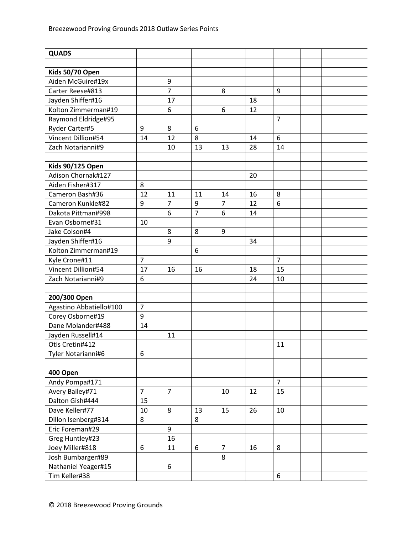| <b>QUADS</b>            |                |                |                |                |    |                |  |
|-------------------------|----------------|----------------|----------------|----------------|----|----------------|--|
|                         |                |                |                |                |    |                |  |
| Kids 50/70 Open         |                |                |                |                |    |                |  |
| Aiden McGuire#19x       |                | 9              |                |                |    |                |  |
| Carter Reese#813        |                | $\overline{7}$ |                | 8              |    | 9              |  |
| Jayden Shiffer#16       |                | 17             |                |                | 18 |                |  |
| Kolton Zimmerman#19     |                | 6              |                | 6              | 12 |                |  |
| Raymond Eldridge#95     |                |                |                |                |    | $\overline{7}$ |  |
| Ryder Carter#5          | 9              | 8              | 6              |                |    |                |  |
| Vincent Dillion#54      | 14             | 12             | 8              |                | 14 | 6              |  |
| Zach Notarianni#9       |                | 10             | 13             | 13             | 28 | 14             |  |
|                         |                |                |                |                |    |                |  |
| <b>Kids 90/125 Open</b> |                |                |                |                |    |                |  |
| Adison Chornak#127      |                |                |                |                | 20 |                |  |
| Aiden Fisher#317        | 8              |                |                |                |    |                |  |
| Cameron Bash#36         | 12             | 11             | 11             | 14             | 16 | 8              |  |
| Cameron Kunkle#82       | 9              | $\overline{7}$ | 9              | $\overline{7}$ | 12 | 6              |  |
| Dakota Pittman#998      |                | 6              | $\overline{7}$ | 6              | 14 |                |  |
| Evan Osborne#31         | 10             |                |                |                |    |                |  |
| Jake Colson#4           |                | 8              | 8              | 9              |    |                |  |
| Jayden Shiffer#16       |                | 9              |                |                | 34 |                |  |
| Kolton Zimmerman#19     |                |                | 6              |                |    |                |  |
| Kyle Crone#11           | $\overline{7}$ |                |                |                |    | $\overline{7}$ |  |
| Vincent Dillion#54      | 17             | 16             | 16             |                | 18 | 15             |  |
| Zach Notarianni#9       | 6              |                |                |                | 24 | 10             |  |
|                         |                |                |                |                |    |                |  |
| 200/300 Open            |                |                |                |                |    |                |  |
| Agastino Abbatiello#100 | $\overline{7}$ |                |                |                |    |                |  |
| Corey Osborne#19        | 9              |                |                |                |    |                |  |
| Dane Molander#488       | 14             |                |                |                |    |                |  |
| Jayden Russell#14       |                | 11             |                |                |    |                |  |
| Otis Cretin#412         |                |                |                |                |    | 11             |  |
| Tyler Notarianni#6      | 6              |                |                |                |    |                |  |
|                         |                |                |                |                |    |                |  |
| 400 Open                |                |                |                |                |    |                |  |
| Andy Pompa#171          |                |                |                |                |    | $\overline{7}$ |  |
| Avery Bailey#71         | $\overline{7}$ | $\overline{7}$ |                | 10             | 12 | 15             |  |
| Dalton Gish#444         | 15             |                |                |                |    |                |  |
| Dave Keller#77          | 10             | 8              | 13             | 15             | 26 | 10             |  |
| Dillon Isenberg#314     | 8              |                | 8              |                |    |                |  |
| Eric Foreman#29         |                | 9              |                |                |    |                |  |
| Greg Huntley#23         |                | 16             |                |                |    |                |  |
| Joey Miller#818         | 6              | 11             | 6              | $\overline{7}$ | 16 | 8              |  |
| Josh Bumbarger#89       |                |                |                | 8              |    |                |  |
| Nathaniel Yeager#15     |                | 6              |                |                |    |                |  |
| Tim Keller#38           |                |                |                |                |    | 6              |  |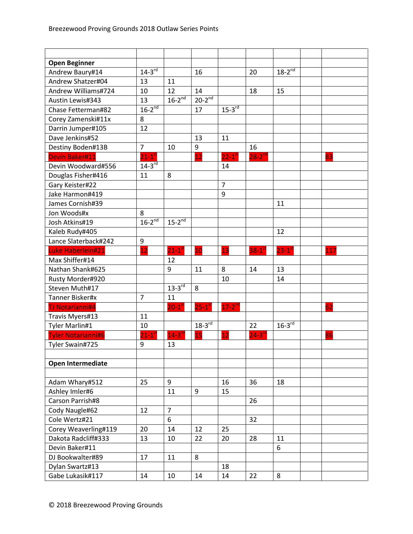| <b>Open Beginner</b>      |                      |                        |                      |                      |                      |                        |     |
|---------------------------|----------------------|------------------------|----------------------|----------------------|----------------------|------------------------|-----|
| Andrew Baury#14           | $14-3^{rd}$          |                        | 16                   |                      | 20                   | $18 - 2^{nd}$          |     |
| Andrew Shatzer#04         | 13                   | 11                     |                      |                      |                      |                        |     |
| Andrew Williams#724       | 10                   | 12                     | 14                   |                      | 18                   | 15                     |     |
| Austin Lewis#343          | 13                   | $16-2^{nd}$            | $20-2^{nd}$          |                      |                      |                        |     |
| Chase Fetterman#82        | $16-2^{nd}$          |                        | 17                   | $15 - 3$ rd          |                      |                        |     |
| Corey Zamenski#11x        | 8                    |                        |                      |                      |                      |                        |     |
| Darrin Jumper#105         | 12                   |                        |                      |                      |                      |                        |     |
| Dave Jenkins#52           |                      |                        | 13                   | 11                   |                      |                        |     |
| Destiny Boden#13B         | $\overline{7}$       | 10                     | 9                    |                      | 16                   |                        |     |
| <b>Devin Baker#11</b>     | $21-1$ <sup>st</sup> |                        | $\overline{12}$      | $22-1$ <sup>st</sup> | $28 - 2^{nd}$        |                        | 83  |
| Devin Woodward#556        | $14-3^{rd}$          |                        |                      | 14                   |                      |                        |     |
| Douglas Fisher#416        | 11                   | 8                      |                      |                      |                      |                        |     |
| Gary Keister#22           |                      |                        |                      | $\overline{7}$       |                      |                        |     |
| Jake Harmon#419           |                      |                        |                      | 9                    |                      |                        |     |
| James Cornish#39          |                      |                        |                      |                      |                      | 11                     |     |
| Jon Woods#x               | 8                    |                        |                      |                      |                      |                        |     |
| Josh Atkins#19            | $16-2^{nd}$          | $15-2^{nd}$            |                      |                      |                      |                        |     |
| Kaleb Rudy#405            |                      |                        |                      |                      |                      | 12                     |     |
| Lance Slaterback#242      | 9                    |                        |                      |                      |                      |                        |     |
| Luke Haberlein#21         | 12                   | $21-1$ <sup>st</sup>   | 10                   | 13                   | $38-1$ <sup>st</sup> | $23 - 1$ <sup>st</sup> | 117 |
| Max Shiffer#14            |                      | 12                     |                      |                      |                      |                        |     |
| Nathan Shank#625          |                      | 9                      | 11                   | 8                    | 14                   | 13                     |     |
| Rusty Morder#920          |                      |                        |                      | 10                   |                      | 14                     |     |
| Steven Muth#17            |                      | $13-3^{rd}$            | 8                    |                      |                      |                        |     |
| Tanner Bisker#x           | $\overline{7}$       | 11                     |                      |                      |                      |                        |     |
| <b>TJ Notarianni#4</b>    |                      | $20 - 1$ <sup>st</sup> | $25-1$ <sup>st</sup> | $17-2^{nd}$          |                      |                        | 62  |
| Travis Myers#13           | 11                   |                        |                      |                      |                      |                        |     |
| Tyler Marlin#1            | 10                   |                        | $18-3^{rd}$          |                      | 22                   | $16-3$ <sup>rd</sup>   |     |
| <b>Tyler Notarianni#6</b> | $21 - 1^s$           | $14-3$ <sup>rd</sup>   | 15                   | 12                   | $24 - 3^{rc}$        |                        | 86  |
| Tyler Swain#725           | 9                    | 13                     |                      |                      |                      |                        |     |
|                           |                      |                        |                      |                      |                      |                        |     |
| <b>Open Intermediate</b>  |                      |                        |                      |                      |                      |                        |     |
|                           |                      |                        |                      |                      |                      |                        |     |
| Adam Whary#512            | 25                   | 9                      |                      | 16                   | 36                   | 18                     |     |
| Ashley Imler#6            |                      | 11                     | 9                    | 15                   |                      |                        |     |
| Carson Parrish#8          |                      |                        |                      |                      | 26                   |                        |     |
| Cody Naugle#62            | 12                   | $\overline{7}$         |                      |                      |                      |                        |     |
| Cole Wertz#21             |                      | 6                      |                      |                      | 32                   |                        |     |
| Corey Weaverling#119      | 20                   | 14                     | 12                   | 25                   |                      |                        |     |
| Dakota Radcliff#333       | 13                   | 10                     | 22                   | 20                   | 28                   | 11                     |     |
| Devin Baker#11            |                      |                        |                      |                      |                      | 6                      |     |
| DJ Bookwalter#89          | 17                   | 11                     | 8                    |                      |                      |                        |     |
| Dylan Swartz#13           |                      |                        |                      | 18                   |                      |                        |     |
| Gabe Lukasik#117          | 14                   | 10                     | 14                   | 14                   | 22                   | 8                      |     |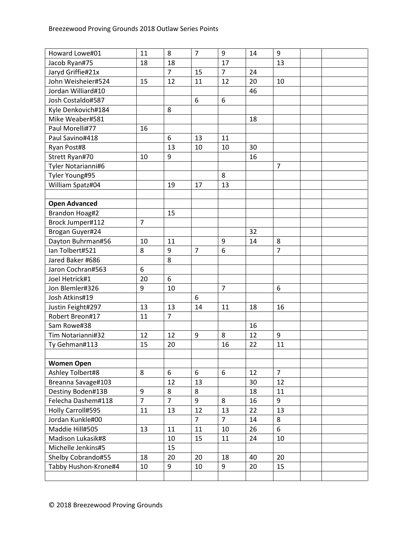| Howard Lowe#01       | 11             | 8              | $\overline{7}$ | 9              | 14 | 9              |  |
|----------------------|----------------|----------------|----------------|----------------|----|----------------|--|
| Jacob Ryan#75        | 18             | 18             |                | 17             |    | 13             |  |
| Jaryd Griffie#21x    |                | $\overline{7}$ | 15             | $\overline{7}$ | 24 |                |  |
| John Weisheier#524   | 15             | 12             | 11             | 12             | 20 | 10             |  |
| Jordan Williard#10   |                |                |                |                | 46 |                |  |
| Josh Costaldo#587    |                |                | 6              | 6              |    |                |  |
| Kyle Denkovich#184   |                | 8              |                |                |    |                |  |
| Mike Weaber#581      |                |                |                |                | 18 |                |  |
| Paul Morelli#77      | 16             |                |                |                |    |                |  |
| Paul Savino#418      |                | 6              | 13             | 11             |    |                |  |
| Ryan Post#8          |                | 13             | 10             | 10             | 30 |                |  |
| Strett Ryan#70       | 10             | 9              |                |                | 16 |                |  |
| Tyler Notarianni#6   |                |                |                |                |    | $\overline{7}$ |  |
| Tyler Young#95       |                |                |                | 8              |    |                |  |
| William Spatz#04     |                | 19             | 17             | 13             |    |                |  |
|                      |                |                |                |                |    |                |  |
| <b>Open Advanced</b> |                |                |                |                |    |                |  |
| Brandon Hoag#2       |                | 15             |                |                |    |                |  |
| Brock Jumper#112     | $\overline{7}$ |                |                |                |    |                |  |
| Brogan Guyer#24      |                |                |                |                | 32 |                |  |
| Dayton Buhrman#56    | 10             | 11             |                | 9              | 14 | 8              |  |
| Ian Tolbert#521      | 8              | 9              | $\overline{7}$ | 6              |    | $\overline{7}$ |  |
| Jared Baker #686     |                | 8              |                |                |    |                |  |
| Jaron Cochran#563    | 6              |                |                |                |    |                |  |
| Joel Hetrick#1       | 20             | 6              |                |                |    |                |  |
| Jon Blemler#326      | 9              | 10             |                | $\overline{7}$ |    | 6              |  |
| Josh Atkins#19       |                |                | 6              |                |    |                |  |
| Justin Feight#297    | 13             | 13             | 14             | 11             | 18 | 16             |  |
| Robert Breon#17      | 11             | $\overline{7}$ |                |                |    |                |  |
| Sam Rowe#38          |                |                |                |                | 16 |                |  |
| Tim Notarianni#32    | 12             | 12             | 9              | 8              | 12 | 9              |  |
| Ty Gehman#113        | 15             | 20             |                | 16             | 22 | 11             |  |
|                      |                |                |                |                |    |                |  |
| <b>Women Open</b>    |                |                |                |                |    |                |  |
| Ashley Tolbert#8     | 8              | 6              | 6              | 6              | 12 | $\overline{7}$ |  |
| Breanna Savage#103   |                | 12             | 13             |                | 30 | 12             |  |
| Destiny Boden#13B    | 9              | 8              | 8              |                | 18 | 11             |  |
| Felecha Dashem#118   | $\overline{7}$ | $\overline{7}$ | 9              | 8              | 16 | 9              |  |
| Holly Carroll#595    | 11             | 13             | 12             | 13             | 22 | 13             |  |
| Jordan Kunkle#00     |                |                | $\overline{7}$ | $\overline{7}$ | 14 | 8              |  |
| Maddie Hill#505      | 13             | 11             | 11             | 10             | 26 | 6              |  |
| Madison Lukasik#8    |                | 10             | 15             | 11             | 24 | 10             |  |
| Michelle Jenkins#5   |                | 15             |                |                |    |                |  |
| Shelby Cobrando#55   | 18             | 20             | 20             | 18             | 40 | 20             |  |
| Tabby Hushon-Krone#4 | 10             | 9              | 10             | 9              | 20 | 15             |  |
|                      |                |                |                |                |    |                |  |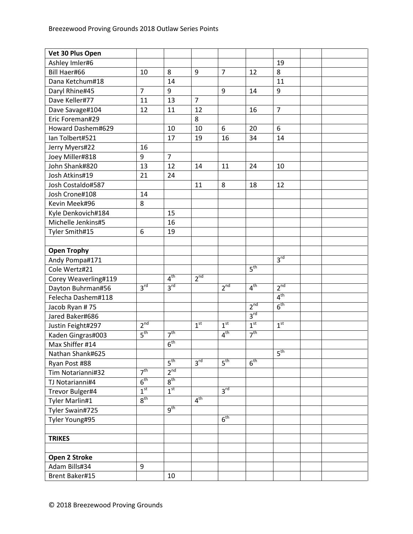| Vet 30 Plus Open     |                     |                 |                 |                 |                 |                 |  |
|----------------------|---------------------|-----------------|-----------------|-----------------|-----------------|-----------------|--|
| Ashley Imler#6       |                     |                 |                 |                 |                 | 19              |  |
| Bill Haer#66         | 10                  | 8               | 9               | $\overline{7}$  | 12              | 8               |  |
| Dana Ketchum#18      |                     | 14              |                 |                 |                 | 11              |  |
| Daryl Rhine#45       | $\overline{7}$      | 9               |                 | 9               | 14              | 9               |  |
| Dave Keller#77       | 11                  | 13              | $\overline{7}$  |                 |                 |                 |  |
| Dave Savage#104      | 12                  | 11              | 12              |                 | 16              | $\overline{7}$  |  |
| Eric Foreman#29      |                     |                 | 8               |                 |                 |                 |  |
| Howard Dashem#629    |                     | 10              | 10              | 6               | 20              | 6               |  |
| Ian Tolbert#521      |                     | 17              | 19              | 16              | 34              | 14              |  |
| Jerry Myers#22       | 16                  |                 |                 |                 |                 |                 |  |
| Joey Miller#818      | 9                   | $\overline{7}$  |                 |                 |                 |                 |  |
| John Shank#820       | 13                  | 12              | 14              | 11              | 24              | 10              |  |
| Josh Atkins#19       | 21                  | 24              |                 |                 |                 |                 |  |
| Josh Costaldo#587    |                     |                 | 11              | 8               | 18              | 12              |  |
| Josh Crone#108       | 14                  |                 |                 |                 |                 |                 |  |
| Kevin Meek#96        | 8                   |                 |                 |                 |                 |                 |  |
| Kyle Denkovich#184   |                     | 15              |                 |                 |                 |                 |  |
| Michelle Jenkins#5   |                     | 16              |                 |                 |                 |                 |  |
| Tyler Smith#15       | 6                   | 19              |                 |                 |                 |                 |  |
|                      |                     |                 |                 |                 |                 |                 |  |
| <b>Open Trophy</b>   |                     |                 |                 |                 |                 |                 |  |
| Andy Pompa#171       |                     |                 |                 |                 |                 | 3 <sup>rd</sup> |  |
| Cole Wertz#21        |                     |                 |                 |                 | 5 <sup>th</sup> |                 |  |
| Corey Weaverling#119 |                     | 4 <sup>th</sup> | 2 <sup>nd</sup> |                 |                 |                 |  |
| Dayton Buhrman#56    | 3 <sup>rd</sup>     | 3 <sup>rd</sup> |                 | 2 <sup>nd</sup> | 4 <sup>th</sup> | 2 <sup>nd</sup> |  |
| Felecha Dashem#118   |                     |                 |                 |                 |                 | 4 <sup>th</sup> |  |
| Jacob Ryan #75       |                     |                 |                 |                 | 2 <sup>nd</sup> | 6 <sup>th</sup> |  |
| Jared Baker#686      |                     |                 |                 |                 | 3 <sup>rd</sup> |                 |  |
| Justin Feight#297    | 2 <sup>nd</sup>     |                 | 1 <sup>st</sup> | 1 <sup>st</sup> | 1 <sup>st</sup> | 1 <sup>st</sup> |  |
| Kaden Gingras#003    | 5 <sup>th</sup>     | 7 <sup>th</sup> |                 | 4 <sup>th</sup> | 7 <sup>th</sup> |                 |  |
| Max Shiffer #14      |                     | 6 <sup>th</sup> |                 |                 |                 |                 |  |
| Nathan Shank#625     |                     |                 |                 |                 |                 | $5^{\text{th}}$ |  |
| Ryan Post #88        |                     | 5 <sup>th</sup> | 3 <sup>rd</sup> | 5 <sup>th</sup> | 6 <sup>th</sup> |                 |  |
| Tim Notarianni#32    | $\overline{7^{th}}$ | 2 <sup>nd</sup> |                 |                 |                 |                 |  |
| TJ Notarianni#4      | $6^{\text{th}}$     | $8^{\text{th}}$ |                 |                 |                 |                 |  |
| Trevor Bulger#4      | 1 <sup>st</sup>     | 1 <sup>st</sup> |                 | $3^{\text{rd}}$ |                 |                 |  |
| Tyler Marlin#1       | 8 <sup>th</sup>     |                 | 4 <sup>th</sup> |                 |                 |                 |  |
| Tyler Swain#725      |                     | 9 <sup>th</sup> |                 |                 |                 |                 |  |
| Tyler Young#95       |                     |                 |                 | 6 <sup>th</sup> |                 |                 |  |
|                      |                     |                 |                 |                 |                 |                 |  |
| <b>TRIKES</b>        |                     |                 |                 |                 |                 |                 |  |
|                      |                     |                 |                 |                 |                 |                 |  |
| Open 2 Stroke        |                     |                 |                 |                 |                 |                 |  |
| Adam Bills#34        | 9                   |                 |                 |                 |                 |                 |  |
| Brent Baker#15       |                     | 10              |                 |                 |                 |                 |  |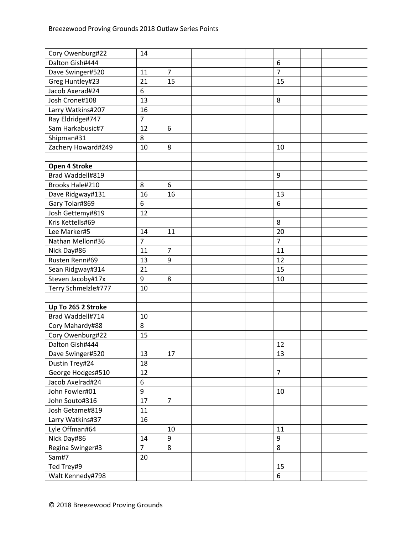| Cory Owenburg#22    | 14             |                |                |
|---------------------|----------------|----------------|----------------|
| Dalton Gish#444     |                |                | 6              |
| Dave Swinger#520    | 11             | $\overline{7}$ | $\overline{7}$ |
| Greg Huntley#23     | 21             | 15             | 15             |
| Jacob Axerad#24     | 6              |                |                |
| Josh Crone#108      | 13             |                | 8              |
| Larry Watkins#207   | 16             |                |                |
| Ray Eldridge#747    | $\overline{7}$ |                |                |
| Sam Harkabusic#7    | 12             | 6              |                |
| Shipman#31          | 8              |                |                |
| Zachery Howard#249  | 10             | 8              | 10             |
|                     |                |                |                |
| Open 4 Stroke       |                |                |                |
| Brad Waddell#819    |                |                | 9              |
| Brooks Hale#210     | 8              | 6              |                |
| Dave Ridgway#131    | 16             | 16             | 13             |
| Gary Tolar#869      | 6              |                | 6              |
| Josh Gettemy#819    | 12             |                |                |
| Kris Kettells#69    |                |                | 8              |
| Lee Marker#5        | 14             | 11             | 20             |
| Nathan Mellon#36    | $\overline{7}$ |                | $\overline{7}$ |
| Nick Day#86         | 11             | $\overline{7}$ | 11             |
| Rusten Renn#69      | 13             | 9              | 12             |
| Sean Ridgway#314    | 21             |                | 15             |
| Steven Jacoby#17x   | 9              | 8              | 10             |
| Terry Schmelzle#777 | 10             |                |                |
|                     |                |                |                |
| Up To 265 2 Stroke  |                |                |                |
| Brad Waddell#714    | 10             |                |                |
| Cory Mahardy#88     | 8              |                |                |
| Cory Owenburg#22    | 15             |                |                |
| Dalton Gish#444     |                |                | 12             |
| Dave Swinger#520    | 13             | 17             | 13             |
| Dustin Trey#24      | 18             |                |                |
| George Hodges#510   | 12             |                | $\overline{7}$ |
| Jacob Axelrad#24    | 6              |                |                |
| John Fowler#01      | 9              |                | 10             |
| John Souto#316      | 17             | $\overline{7}$ |                |
| Josh Getame#819     | 11             |                |                |
| Larry Watkins#37    | 16             |                |                |
| Lyle Offman#64      |                | 10             | 11             |
| Nick Day#86         | 14             | 9              | 9              |
| Regina Swinger#3    | $\overline{7}$ | 8              | 8              |
| Sam#7               | 20             |                |                |
| Ted Trey#9          |                |                | 15             |
| Walt Kennedy#798    |                |                | 6              |
|                     |                |                |                |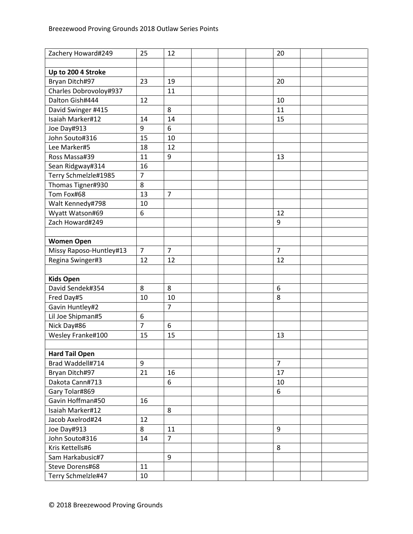| Zachery Howard#249      | 25             | 12             | 20             |
|-------------------------|----------------|----------------|----------------|
|                         |                |                |                |
| Up to 200 4 Stroke      |                |                |                |
| Bryan Ditch#97          | 23             | 19             | 20             |
| Charles Dobrovoloy#937  |                | 11             |                |
| Dalton Gish#444         | 12             |                | 10             |
| David Swinger #415      |                | 8              | 11             |
| Isaiah Marker#12        | 14             | 14             | 15             |
| Joe Day#913             | 9              | 6              |                |
| John Souto#316          | 15             | 10             |                |
| Lee Marker#5            | 18             | 12             |                |
| Ross Massa#39           | 11             | 9              | 13             |
| Sean Ridgway#314        | 16             |                |                |
| Terry Schmelzle#1985    | $\overline{7}$ |                |                |
| Thomas Tigner#930       | 8              |                |                |
| Tom Fox#68              | 13             | $\overline{7}$ |                |
| Walt Kennedy#798        | 10             |                |                |
| Wyatt Watson#69         | 6              |                | 12             |
| Zach Howard#249         |                |                | 9              |
|                         |                |                |                |
| <b>Women Open</b>       |                |                |                |
| Missy Raposo-Huntley#13 | $\overline{7}$ | $\overline{7}$ | $\overline{7}$ |
| Regina Swinger#3        | 12             | 12             | 12             |
|                         |                |                |                |
| <b>Kids Open</b>        |                |                |                |
| David Sendek#354        | 8              | 8              | 6              |
| Fred Day#5              | 10             | 10             | 8              |
| Gavin Huntley#2         |                | $\overline{7}$ |                |
| Lil Joe Shipman#5       | 6              |                |                |
| Nick Day#86             | $\overline{7}$ | 6              |                |
| Wesley Franke#100       | 15             | 15             | 13             |
|                         |                |                |                |
| <b>Hard Tail Open</b>   |                |                |                |
| Brad Waddell#714        | 9              |                | $\overline{7}$ |
| Bryan Ditch#97          | 21             | 16             | 17             |
| Dakota Cann#713         |                | 6              | 10             |
| Gary Tolar#869          |                |                | 6              |
| Gavin Hoffman#50        | 16             |                |                |
| Isaiah Marker#12        |                | 8              |                |
| Jacob Axelrod#24        | 12             |                |                |
| Joe Day#913             | 8              | 11             | 9              |
| John Souto#316          | 14             | $\overline{7}$ |                |
| Kris Kettells#6         |                |                | 8              |
| Sam Harkabusic#7        |                | 9              |                |
| Steve Dorens#68         | 11             |                |                |
| Terry Schmelzle#47      |                |                |                |